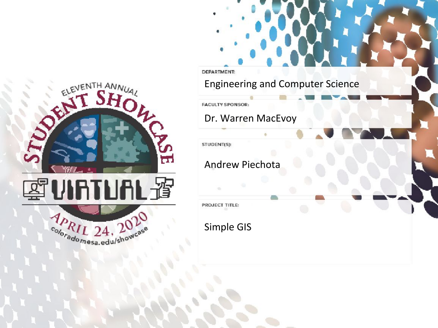

**DEPARTMENT:** Engineering and Computer Science

**FACULTY SPONSOR:** 

Dr. Warren MacEvoy

STUDENT(S):

Andrew Piechota

PROJECT TITLE:

Simple GIS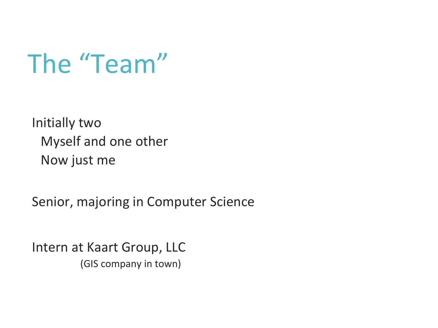The "Team"

Initially two Myself and one other Now just me

Senior, majoring in Computer Science

Intern at Kaart Group, LLC (GIS company in town)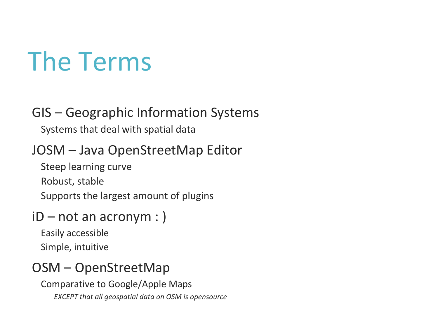## The Terms

#### GIS – Geographic Information Systems

Systems that deal with spatial data

### JOSM – Java OpenStreetMap Editor

Steep learning curve

Robust, stable

Supports the largest amount of plugins

#### iD – not an acronym : )

Easily accessible Simple, intuitive

#### OSM – OpenStreetMap

Comparative to Google/Apple Maps *EXCEPT that all geospatial data on OSM is opensource*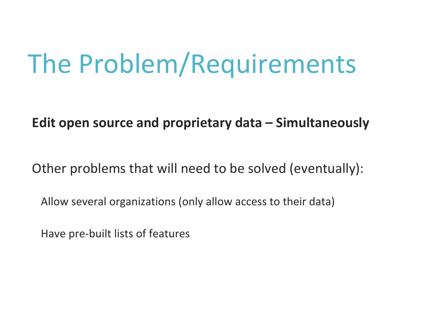## The Problem/Requirements

#### **Edit open source and proprietary data – Simultaneously**

Other problems that will need to be solved (eventually):

Allow several organizations (only allow access to their data)

Have pre-built lists of features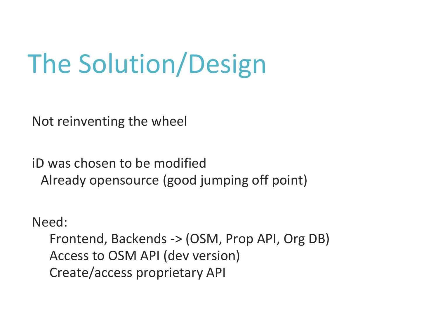# The Solution/Design

Not reinventing the wheel

iD was chosen to be modified Already opensource (good jumping off point)

Need:

Frontend, Backends -> (OSM, Prop API, Org DB) Access to OSM API (dev version) Create/access proprietary API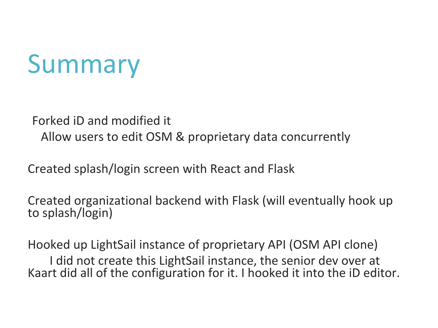## Summary

Forked iD and modified it Allow users to edit OSM & proprietary data concurrently

Created splash/login screen with React and Flask

Created organizational backend with Flask (will eventually hook up to splash/login)

Hooked up LightSail instance of proprietary API (OSM API clone) I did not create this LightSail instance, the senior dev over at Kaart did all of the configuration for it. I hooked it into the iD editor.